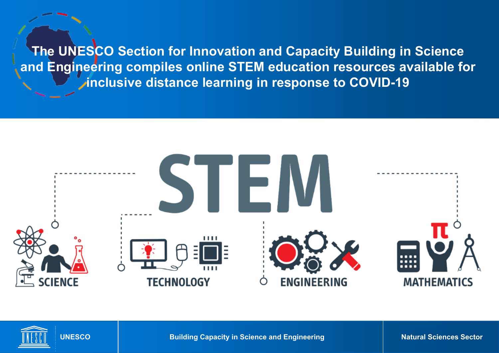**The UNESCO Section for Innovation and Capacity Building in Science and Engineering compiles online STEM education resources available for inclusive distance learning in response to COVID-19**





**UNESCO** Building Capacity in Science and Engineering **Natural Sciences Sector**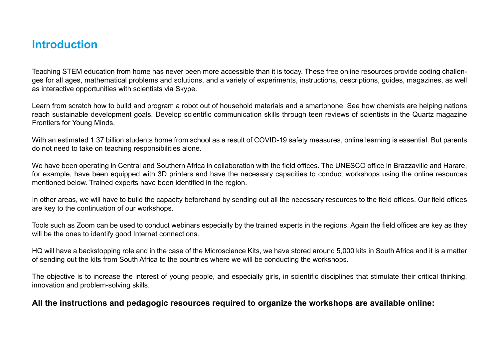## **Introduction**

Teaching STEM education from home has never been more accessible than it is today. These free online resources provide coding challenges for all ages, mathematical problems and solutions, and a variety of experiments, instructions, descriptions, guides, magazines, as well as interactive opportunities with scientists via Skype.

Learn from scratch how to build and program a robot out of household materials and a smartphone. See how chemists are helping nations reach sustainable development goals. Develop scientific communication skills through teen reviews of scientists in the Quartz magazine Frontiers for Young Minds.

With an estimated 1.37 billion students home from school as a result of COVID-19 safety measures, online learning is essential. But parents do not need to take on teaching responsibilities alone.

We have been operating in Central and Southern Africa in collaboration with the field offices. The UNESCO office in Brazzaville and Harare, for example, have been equipped with 3D printers and have the necessary capacities to conduct workshops using the online resources mentioned below. Trained experts have been identified in the region.

In other areas, we will have to build the capacity beforehand by sending out all the necessary resources to the field offices. Our field offices are key to the continuation of our workshops.

Tools such as Zoom can be used to conduct webinars especially by the trained experts in the regions. Again the field offices are key as they will be the ones to identify good Internet connections.

HQ will have a backstopping role and in the case of the Microscience Kits, we have stored around 5,000 kits in South Africa and it is a matter of sending out the kits from South Africa to the countries where we will be conducting the workshops.

The objective is to increase the interest of young people, and especially girls, in scientific disciplines that stimulate their critical thinking, innovation and problem-solving skills.

## **All the instructions and pedagogic resources required to organize the workshops are available online:**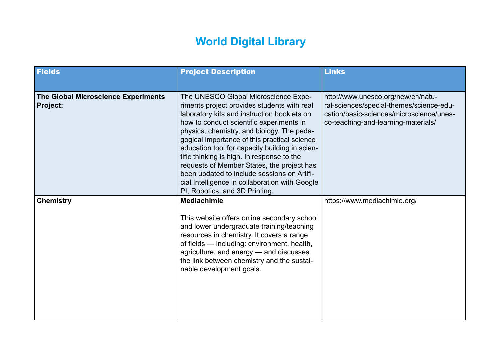## **World Digital Library**

| <b>Fields</b>                                                 | <b>Project Description</b>                                                                                                                                                                                                                                                                                                                                                                                                                                                                                                                                    | <b>Links</b>                                                                                                                                                      |
|---------------------------------------------------------------|---------------------------------------------------------------------------------------------------------------------------------------------------------------------------------------------------------------------------------------------------------------------------------------------------------------------------------------------------------------------------------------------------------------------------------------------------------------------------------------------------------------------------------------------------------------|-------------------------------------------------------------------------------------------------------------------------------------------------------------------|
| <b>The Global Microscience Experiments</b><br><b>Project:</b> | The UNESCO Global Microscience Expe-<br>riments project provides students with real<br>laboratory kits and instruction booklets on<br>how to conduct scientific experiments in<br>physics, chemistry, and biology. The peda-<br>gogical importance of this practical science<br>education tool for capacity building in scien-<br>tific thinking is high. In response to the<br>requests of Member States, the project has<br>been updated to include sessions on Artifi-<br>cial Intelligence in collaboration with Google<br>PI, Robotics, and 3D Printing. | http://www.unesco.org/new/en/natu-<br>ral-sciences/special-themes/science-edu-<br>cation/basic-sciences/microscience/unes-<br>co-teaching-and-learning-materials/ |
| <b>Chemistry</b>                                              | <b>Mediachimie</b><br>This website offers online secondary school<br>and lower undergraduate training/teaching<br>resources in chemistry. It covers a range<br>of fields — including: environment, health,<br>agriculture, and energy - and discusses<br>the link between chemistry and the sustai-<br>nable development goals.                                                                                                                                                                                                                               | https://www.mediachimie.org/                                                                                                                                      |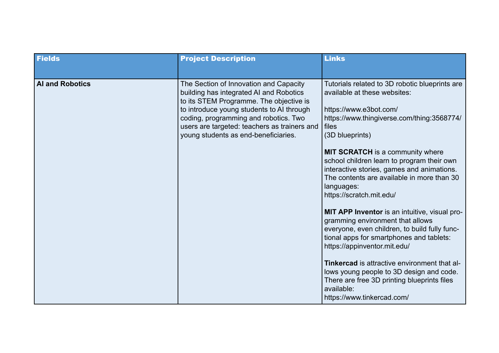| <b>Fields</b>          | <b>Project Description</b>                                                                                                                                                                                                                                                                                 | <b>Links</b>                                                                                                                                                                                                                                                                                                                                                                                                                                                                                                                                                                                                                                                                                                                                                                                                                      |
|------------------------|------------------------------------------------------------------------------------------------------------------------------------------------------------------------------------------------------------------------------------------------------------------------------------------------------------|-----------------------------------------------------------------------------------------------------------------------------------------------------------------------------------------------------------------------------------------------------------------------------------------------------------------------------------------------------------------------------------------------------------------------------------------------------------------------------------------------------------------------------------------------------------------------------------------------------------------------------------------------------------------------------------------------------------------------------------------------------------------------------------------------------------------------------------|
| <b>Al and Robotics</b> | The Section of Innovation and Capacity<br>building has integrated AI and Robotics<br>to its STEM Programme. The objective is<br>to introduce young students to AI through<br>coding, programming and robotics. Two<br>users are targeted: teachers as trainers and<br>young students as end-beneficiaries. | Tutorials related to 3D robotic blueprints are<br>available at these websites:<br>https://www.e3bot.com/<br>https://www.thingiverse.com/thing:3568774/<br>files<br>(3D blueprints)<br><b>MIT SCRATCH</b> is a community where<br>school children learn to program their own<br>interactive stories, games and animations.<br>The contents are available in more than 30<br>languages:<br>https://scratch.mit.edu/<br><b>MIT APP Inventor</b> is an intuitive, visual pro-<br>gramming environment that allows<br>everyone, even children, to build fully func-<br>tional apps for smartphones and tablets:<br>https://appinventor.mit.edu/<br>Tinkercad is attractive environment that al-<br>lows young people to 3D design and code.<br>There are free 3D printing blueprints files<br>available:<br>https://www.tinkercad.com/ |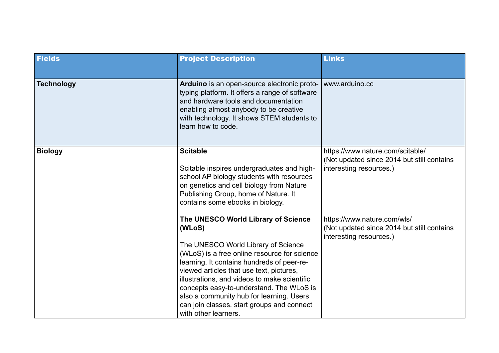| <b>Fields</b>     | <b>Project Description</b>                                                                                                                                                                                                                                                                                                                                                                                                                   | <b>Links</b>                                                                                              |
|-------------------|----------------------------------------------------------------------------------------------------------------------------------------------------------------------------------------------------------------------------------------------------------------------------------------------------------------------------------------------------------------------------------------------------------------------------------------------|-----------------------------------------------------------------------------------------------------------|
| <b>Technology</b> | Arduino is an open-source electronic proto-<br>typing platform. It offers a range of software<br>and hardware tools and documentation<br>enabling almost anybody to be creative<br>with technology. It shows STEM students to<br>learn how to code.                                                                                                                                                                                          | www.arduino.cc                                                                                            |
| <b>Biology</b>    | <b>Scitable</b><br>Scitable inspires undergraduates and high-<br>school AP biology students with resources<br>on genetics and cell biology from Nature<br>Publishing Group, home of Nature. It<br>contains some ebooks in biology.                                                                                                                                                                                                           | https://www.nature.com/scitable/<br>(Not updated since 2014 but still contains<br>interesting resources.) |
|                   | The UNESCO World Library of Science<br>(WLoS)<br>The UNESCO World Library of Science<br>(WLoS) is a free online resource for science<br>learning. It contains hundreds of peer-re-<br>viewed articles that use text, pictures,<br>illustrations, and videos to make scientific<br>concepts easy-to-understand. The WLoS is<br>also a community hub for learning. Users<br>can join classes, start groups and connect<br>with other learners. | https://www.nature.com/wls/<br>(Not updated since 2014 but still contains<br>interesting resources.)      |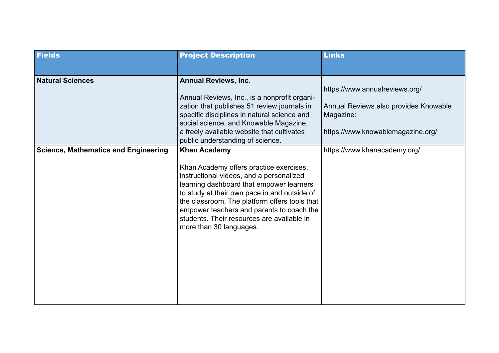| <b>Fields</b>                               | <b>Project Description</b>                                                                                                                                                                                                                                                                                                                                                    | <b>Links</b>                                                                                                              |
|---------------------------------------------|-------------------------------------------------------------------------------------------------------------------------------------------------------------------------------------------------------------------------------------------------------------------------------------------------------------------------------------------------------------------------------|---------------------------------------------------------------------------------------------------------------------------|
| <b>Natural Sciences</b>                     | <b>Annual Reviews, Inc.</b><br>Annual Reviews, Inc., is a nonprofit organi-<br>zation that publishes 51 review journals in<br>specific disciplines in natural science and<br>social science, and Knowable Magazine,<br>a freely available website that cultivates<br>public understanding of science.                                                                         | https://www.annualreviews.org/<br>Annual Reviews also provides Knowable<br>Magazine:<br>https://www.knowablemagazine.org/ |
| <b>Science, Mathematics and Engineering</b> | <b>Khan Academy</b><br>Khan Academy offers practice exercises,<br>instructional videos, and a personalized<br>learning dashboard that empower learners<br>to study at their own pace in and outside of<br>the classroom. The platform offers tools that<br>empower teachers and parents to coach the<br>students. Their resources are available in<br>more than 30 languages. | https://www.khanacademy.org/                                                                                              |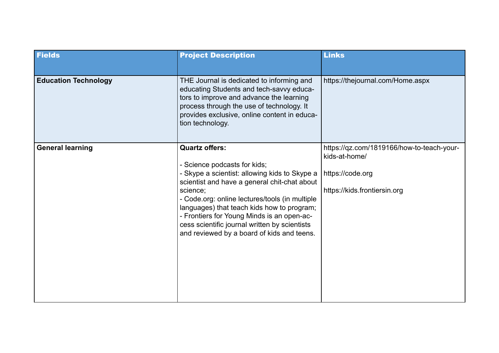| <b>Fields</b>               | <b>Project Description</b>                                                                                                                                                                                                                                                                                                                                                                                      | <b>Links</b>                                                                                                   |
|-----------------------------|-----------------------------------------------------------------------------------------------------------------------------------------------------------------------------------------------------------------------------------------------------------------------------------------------------------------------------------------------------------------------------------------------------------------|----------------------------------------------------------------------------------------------------------------|
| <b>Education Technology</b> | THE Journal is dedicated to informing and<br>educating Students and tech-savvy educa-<br>tors to improve and advance the learning<br>process through the use of technology. It<br>provides exclusive, online content in educa-<br>tion technology.                                                                                                                                                              | https://thejournal.com/Home.aspx                                                                               |
| <b>General learning</b>     | <b>Quartz offers:</b><br>- Science podcasts for kids;<br>- Skype a scientist: allowing kids to Skype a<br>scientist and have a general chit-chat about<br>science;<br>- Code.org: online lectures/tools (in multiple<br>languages) that teach kids how to program;<br>- Frontiers for Young Minds is an open-ac-<br>cess scientific journal written by scientists<br>and reviewed by a board of kids and teens. | https://qz.com/1819166/how-to-teach-your-<br>kids-at-home/<br>https://code.org<br>https://kids.frontiersin.org |